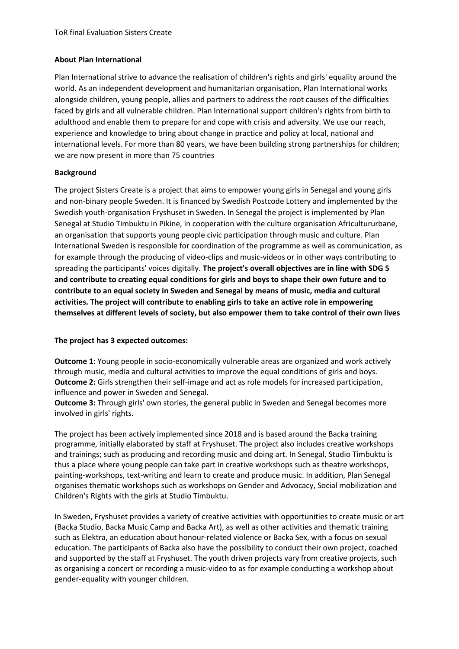## **About Plan International**

Plan International strive to advance the realisation of children's rights and girls' equality around the world. As an independent development and humanitarian organisation, Plan International works alongside children, young people, allies and partners to address the root causes of the difficulties faced by girls and all vulnerable children. Plan International support children's rights from birth to adulthood and enable them to prepare for and cope with crisis and adversity. We use our reach, experience and knowledge to bring about change in practice and policy at local, national and international levels. For more than 80 years, we have been building strong partnerships for children; we are now present in more than 75 countries

## **Background**

The project Sisters Create is a project that aims to empower young girls in Senegal and young girls and non-binary people Sweden. It is financed by Swedish Postcode Lottery and implemented by the Swedish youth-organisation Fryshuset in Sweden. In Senegal the project is implemented by Plan Senegal at Studio Timbuktu in Pikine, in cooperation with the culture organisation Africultururbane, an organisation that supports young people civic participation through music and culture. Plan International Sweden is responsible for coordination of the programme as well as communication, as for example through the producing of video-clips and music-videos or in other ways contributing to spreading the participants' voices digitally. **The project's overall objectives are in line with SDG 5 and contribute to creating equal conditions for girls and boys to shape their own future and to contribute to an equal society in Sweden and Senegal by means of music, media and cultural activities. The project will contribute to enabling girls to take an active role in empowering themselves at different levels of society, but also empower them to take control of their own lives**

## **The project has 3 expected outcomes:**

**Outcome 1**: Young people in socio-economically vulnerable areas are organized and work actively through music, media and cultural activities to improve the equal conditions of girls and boys. **Outcome 2:** Girls strengthen their self-image and act as role models for increased participation, influence and power in Sweden and Senegal.

**Outcome 3:** Through girls' own stories, the general public in Sweden and Senegal becomes more involved in girls' rights.

The project has been actively implemented since 2018 and is based around the Backa training programme, initially elaborated by staff at Fryshuset. The project also includes creative workshops and trainings; such as producing and recording music and doing art. In Senegal, Studio Timbuktu is thus a place where young people can take part in creative workshops such as theatre workshops, painting-workshops, text-writing and learn to create and produce music. In addition, Plan Senegal organises thematic workshops such as workshops on Gender and Advocacy, Social mobilization and Children's Rights with the girls at Studio Timbuktu.

In Sweden, Fryshuset provides a variety of creative activities with opportunities to create music or art (Backa Studio, Backa Music Camp and Backa Art), as well as other activities and thematic training such as Elektra, an education about honour-related violence or Backa Sex, with a focus on sexual education. The participants of Backa also have the possibility to conduct their own project, coached and supported by the staff at Fryshuset. The youth driven projects vary from creative projects, such as organising a concert or recording a music-video to as for example conducting a workshop about gender-equality with younger children.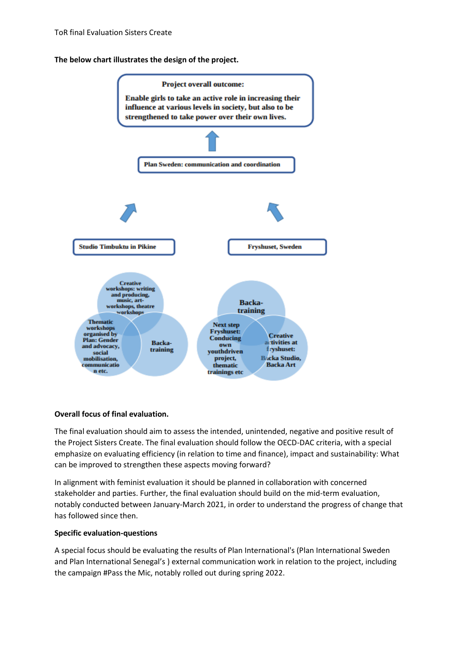**The below chart illustrates the design of the project.** 



# **Overall focus of final evaluation.**

The final evaluation should aim to assess the intended, unintended, negative and positive result of the Project Sisters Create. The final evaluation should follow the OECD-DAC criteria, with a special emphasize on evaluating efficiency (in relation to time and finance), impact and sustainability: What can be improved to strengthen these aspects moving forward?

In alignment with feminist evaluation it should be planned in collaboration with concerned stakeholder and parties. Further, the final evaluation should build on the mid-term evaluation, notably conducted between January-March 2021, in order to understand the progress of change that has followed since then.

#### **Specific evaluation-questions**

A special focus should be evaluating the results of Plan International's (Plan International Sweden and Plan International Senegal's ) external communication work in relation to the project, including the campaign #Pass the Mic, notably rolled out during spring 2022.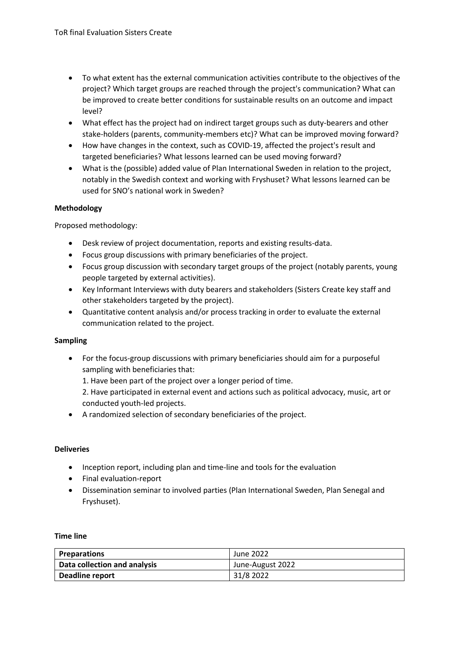- To what extent has the external communication activities contribute to the objectives of the project? Which target groups are reached through the project's communication? What can be improved to create better conditions for sustainable results on an outcome and impact level?
- What effect has the project had on indirect target groups such as duty-bearers and other stake-holders (parents, community-members etc)? What can be improved moving forward?
- How have changes in the context, such as COVID-19, affected the project's result and targeted beneficiaries? What lessons learned can be used moving forward?
- What is the (possible) added value of Plan International Sweden in relation to the project, notably in the Swedish context and working with Fryshuset? What lessons learned can be used for SNO's national work in Sweden?

## **Methodology**

Proposed methodology:

- Desk review of project documentation, reports and existing results-data.
- Focus group discussions with primary beneficiaries of the project.
- Focus group discussion with secondary target groups of the project (notably parents, young people targeted by external activities).
- Key Informant Interviews with duty bearers and stakeholders (Sisters Create key staff and other stakeholders targeted by the project).
- Quantitative content analysis and/or process tracking in order to evaluate the external communication related to the project.

#### **Sampling**

• For the focus-group discussions with primary beneficiaries should aim for a purposeful sampling with beneficiaries that:

1. Have been part of the project over a longer period of time.

2. Have participated in external event and actions such as political advocacy, music, art or conducted youth-led projects.

• A randomized selection of secondary beneficiaries of the project.

#### **Deliveries**

- Inception report, including plan and time-line and tools for the evaluation
- Final evaluation-report
- Dissemination seminar to involved parties (Plan International Sweden, Plan Senegal and Fryshuset).

#### **Time line**

| <b>Preparations</b>          | June 2022        |
|------------------------------|------------------|
| Data collection and analysis | June-August 2022 |
| Deadline report              | 31/8 2022        |